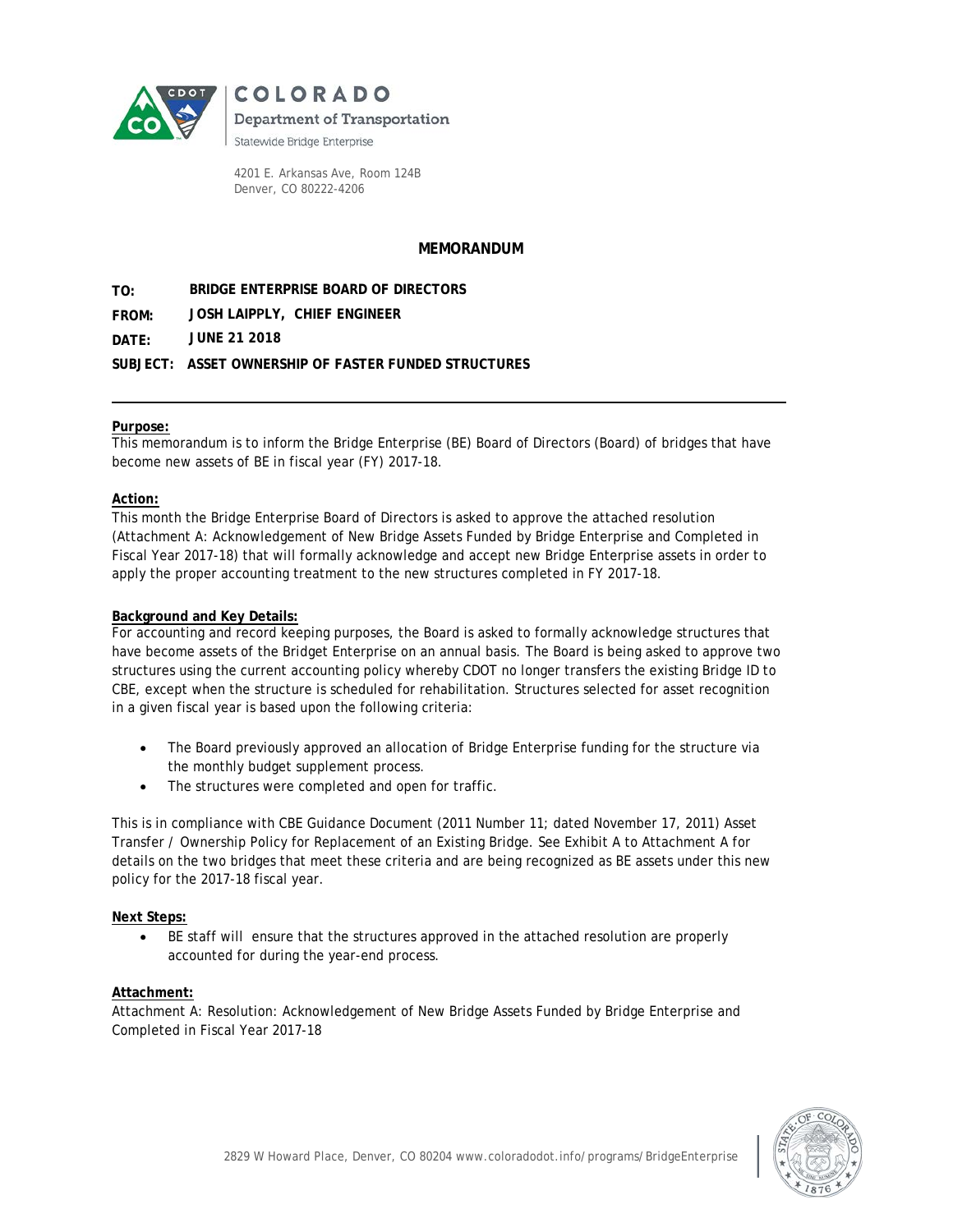

**COLORADO** 

**Department of Transportation** 

Statewide Bridge Enterprise

4201 E. Arkansas Ave, Room 124B Denver, CO 80222-4206

## **MEMORANDUM**

**TO: BRIDGE ENTERPRISE BOARD OF DIRECTORS** 

**FROM: JOSH LAIPPLY, CHIEF ENGINEER** 

**DATE: JUNE 21 2018** 

**SUBJECT: ASSET OWNERSHIP OF FASTER FUNDED STRUCTURES**

### **Purpose:**

This memorandum is to inform the Bridge Enterprise (BE) Board of Directors (Board) of bridges that have become new assets of BE in fiscal year (FY) 2017-18.

### **Action:**

This month the Bridge Enterprise Board of Directors is asked to approve the attached resolution (Attachment A: Acknowledgement of New Bridge Assets Funded by Bridge Enterprise and Completed in Fiscal Year 2017-18) that will formally acknowledge and accept new Bridge Enterprise assets in order to apply the proper accounting treatment to the new structures completed in FY 2017-18.

#### **Background and Key Details:**

For accounting and record keeping purposes, the Board is asked to formally acknowledge structures that have become assets of the Bridget Enterprise on an annual basis. The Board is being asked to approve two structures using the current accounting policy whereby CDOT no longer transfers the existing Bridge ID to CBE, except when the structure is scheduled for rehabilitation. Structures selected for asset recognition in a given fiscal year is based upon the following criteria:

- The Board previously approved an allocation of Bridge Enterprise funding for the structure via the monthly budget supplement process.
- The structures were completed and open for traffic.

This is in compliance with CBE Guidance Document (2011 Number 11; dated November 17, 2011) Asset Transfer / Ownership Policy for Replacement of an Existing Bridge. See Exhibit A to Attachment A for details on the two bridges that meet these criteria and are being recognized as BE assets under this new policy for the 2017-18 fiscal year.

#### **Next Steps:**

• BE staff will ensure that the structures approved in the attached resolution are properly accounted for during the year-end process.

## **Attachment:**

Attachment A: Resolution: Acknowledgement of New Bridge Assets Funded by Bridge Enterprise and Completed in Fiscal Year 2017-18